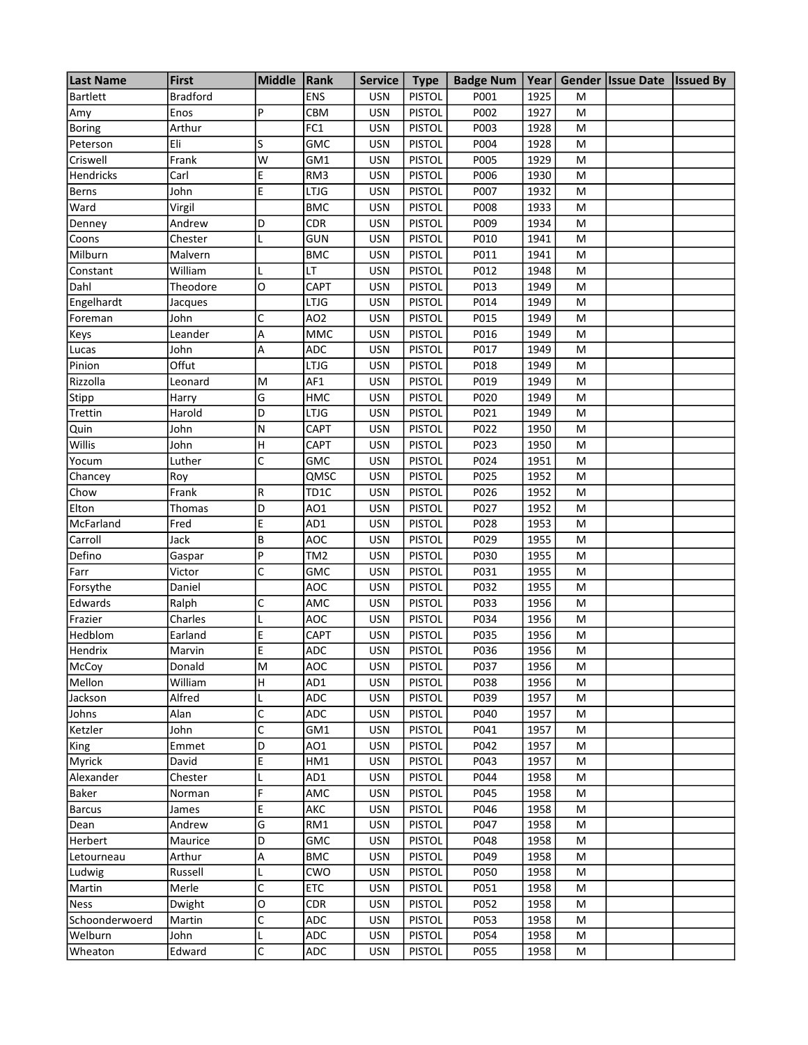| <b>Last Name</b> | <b>First</b>    | <b>Middle</b> | Rank            | <b>Service</b> | <b>Type</b>   | <b>Badge Num</b> | Year |   | Gender Issue Date Issued By |  |
|------------------|-----------------|---------------|-----------------|----------------|---------------|------------------|------|---|-----------------------------|--|
| <b>Bartlett</b>  | <b>Bradford</b> |               | <b>ENS</b>      | <b>USN</b>     | <b>PISTOL</b> | P001             | 1925 | M |                             |  |
| Amy              | Enos            | P             | CBM             | <b>USN</b>     | <b>PISTOL</b> | P002             | 1927 | M |                             |  |
| <b>Boring</b>    | Arthur          |               | FC1             | <b>USN</b>     | <b>PISTOL</b> | P003             | 1928 | M |                             |  |
| Peterson         | Eli             | $\mathsf S$   | <b>GMC</b>      | <b>USN</b>     | <b>PISTOL</b> | P004             | 1928 | M |                             |  |
| Criswell         | Frank           | W             | GM1             | <b>USN</b>     | <b>PISTOL</b> | P005             | 1929 | M |                             |  |
| Hendricks        | Carl            | E             | RM3             | <b>USN</b>     | <b>PISTOL</b> | P006             | 1930 | M |                             |  |
| <b>Berns</b>     | John            | E             | LTJG            | <b>USN</b>     | <b>PISTOL</b> | P007             | 1932 | M |                             |  |
| Ward             | Virgil          |               | <b>BMC</b>      | <b>USN</b>     | <b>PISTOL</b> | P008             | 1933 | M |                             |  |
| Denney           | Andrew          | D             | <b>CDR</b>      | <b>USN</b>     | <b>PISTOL</b> | P009             | 1934 | M |                             |  |
| Coons            | Chester         | L             | <b>GUN</b>      | <b>USN</b>     | <b>PISTOL</b> | P010             | 1941 | M |                             |  |
| Milburn          | Malvern         |               | <b>BMC</b>      | <b>USN</b>     | <b>PISTOL</b> | P011             | 1941 | M |                             |  |
| Constant         | William         |               | LT              | <b>USN</b>     | <b>PISTOL</b> | P012             | 1948 | M |                             |  |
| Dahl             | Theodore        | O             | CAPT            | <b>USN</b>     | <b>PISTOL</b> | P013             | 1949 | M |                             |  |
| Engelhardt       | Jacques         |               | <b>LTJG</b>     | <b>USN</b>     | <b>PISTOL</b> | P014             | 1949 | M |                             |  |
| Foreman          | John            | C             | AO <sub>2</sub> | <b>USN</b>     | <b>PISTOL</b> | P015             | 1949 | M |                             |  |
| Keys             | Leander         | A             | <b>MMC</b>      | <b>USN</b>     | <b>PISTOL</b> | P016             | 1949 | M |                             |  |
| Lucas            | John            | A             | ADC             | <b>USN</b>     | <b>PISTOL</b> | P017             | 1949 | M |                             |  |
| Pinion           | Offut           |               | <b>LTJG</b>     | <b>USN</b>     | <b>PISTOL</b> | P018             | 1949 | M |                             |  |
| Rizzolla         | Leonard         | M             | AF1             | <b>USN</b>     | <b>PISTOL</b> | P019             | 1949 | M |                             |  |
| Stipp            | Harry           | G             | <b>HMC</b>      | <b>USN</b>     | <b>PISTOL</b> | P020             | 1949 | M |                             |  |
| Trettin          | Harold          | D             | LTJG            | <b>USN</b>     | <b>PISTOL</b> | P021             | 1949 | M |                             |  |
| Quin             | John            | N             | CAPT            | <b>USN</b>     | <b>PISTOL</b> | P022             | 1950 | M |                             |  |
| Willis           | John            | H             | CAPT            | <b>USN</b>     | <b>PISTOL</b> | P023             | 1950 | M |                             |  |
| Yocum            | Luther          | C             | <b>GMC</b>      | <b>USN</b>     | <b>PISTOL</b> | P024             | 1951 | M |                             |  |
| Chancey          | Roy             |               | QMSC            | <b>USN</b>     | <b>PISTOL</b> | P025             | 1952 | M |                             |  |
| Chow             | Frank           | R             | TD1C            | <b>USN</b>     | <b>PISTOL</b> | P026             | 1952 | M |                             |  |
| Elton            | Thomas          | D             | AO1             | <b>USN</b>     | <b>PISTOL</b> | P027             | 1952 | M |                             |  |
| McFarland        | Fred            | E             | AD1             | <b>USN</b>     | <b>PISTOL</b> | P028             | 1953 | M |                             |  |
| Carroll          | Jack            | B             | <b>AOC</b>      | <b>USN</b>     | <b>PISTOL</b> | P029             | 1955 | M |                             |  |
| Defino           | Gaspar          | P             | TM <sub>2</sub> | <b>USN</b>     | <b>PISTOL</b> | P030             | 1955 | M |                             |  |
| Farr             | Victor          | C             | <b>GMC</b>      | <b>USN</b>     | <b>PISTOL</b> | P031             | 1955 | M |                             |  |
| Forsythe         | Daniel          |               | <b>AOC</b>      | <b>USN</b>     | <b>PISTOL</b> | P032             | 1955 | M |                             |  |
| Edwards          | Ralph           | C             | AMC             | <b>USN</b>     | <b>PISTOL</b> | P033             | 1956 | M |                             |  |
| Frazier          | Charles         |               | <b>AOC</b>      | <b>USN</b>     | <b>PISTOL</b> | P034             | 1956 | M |                             |  |
| Hedblom          | Earland         | E             | CAPT            | <b>USN</b>     | <b>PISTOL</b> | P035             | 1956 | M |                             |  |
| Hendrix          | Marvin          | E             | ADC             | <b>USN</b>     | <b>PISTOL</b> | P036             | 1956 | M |                             |  |
| McCoy            | Donald          | M             | AOC             | <b>USN</b>     | <b>PISTOL</b> | P037             | 1956 | М |                             |  |
| Mellon           | William         | H             | AD1             | <b>USN</b>     | <b>PISTOL</b> | P038             | 1956 | M |                             |  |
| Jackson          | Alfred          | L             | <b>ADC</b>      | <b>USN</b>     | <b>PISTOL</b> | P039             | 1957 | М |                             |  |
| Johns            | Alan            | C             | <b>ADC</b>      | <b>USN</b>     | <b>PISTOL</b> | P040             | 1957 | М |                             |  |
| Ketzler          | John            | C             | GM1             | <b>USN</b>     | <b>PISTOL</b> | P041             | 1957 | M |                             |  |
| King             | Emmet           | D             | AO1             | <b>USN</b>     | <b>PISTOL</b> | P042             | 1957 | М |                             |  |
| <b>Myrick</b>    | David           | E             | HM1             | <b>USN</b>     | <b>PISTOL</b> | P043             | 1957 | М |                             |  |
| Alexander        | Chester         |               | AD1             | <b>USN</b>     | <b>PISTOL</b> | P044             | 1958 | M |                             |  |
| Baker            | Norman          | F             | AMC             | <b>USN</b>     | <b>PISTOL</b> | P045             | 1958 | М |                             |  |
| <b>Barcus</b>    | James           | E             | AKC             | <b>USN</b>     | <b>PISTOL</b> | P046             | 1958 | М |                             |  |
| Dean             | Andrew          | G             | RM1             | <b>USN</b>     | <b>PISTOL</b> | P047             | 1958 | M |                             |  |
| Herbert          | Maurice         | D             | <b>GMC</b>      | <b>USN</b>     | <b>PISTOL</b> | P048             | 1958 | М |                             |  |
| Letourneau       | Arthur          | А             | <b>BMC</b>      | <b>USN</b>     | <b>PISTOL</b> | P049             | 1958 | М |                             |  |
| Ludwig           | Russell         |               | CWO             | <b>USN</b>     | <b>PISTOL</b> | P050             | 1958 | M |                             |  |
| Martin           | Merle           | C             | <b>ETC</b>      | <b>USN</b>     | <b>PISTOL</b> | P051             | 1958 | М |                             |  |
| <b>Ness</b>      | Dwight          | O             | <b>CDR</b>      | <b>USN</b>     | <b>PISTOL</b> | P052             | 1958 | М |                             |  |
| Schoonderwoerd   | Martin          | C             | <b>ADC</b>      | <b>USN</b>     | <b>PISTOL</b> | P053             | 1958 | M |                             |  |
| Welburn          | John            | L             | ADC             | <b>USN</b>     | <b>PISTOL</b> | P054             | 1958 | М |                             |  |
| Wheaton          | Edward          | C             | ADC             | <b>USN</b>     | <b>PISTOL</b> | P055             | 1958 | M |                             |  |
|                  |                 |               |                 |                |               |                  |      |   |                             |  |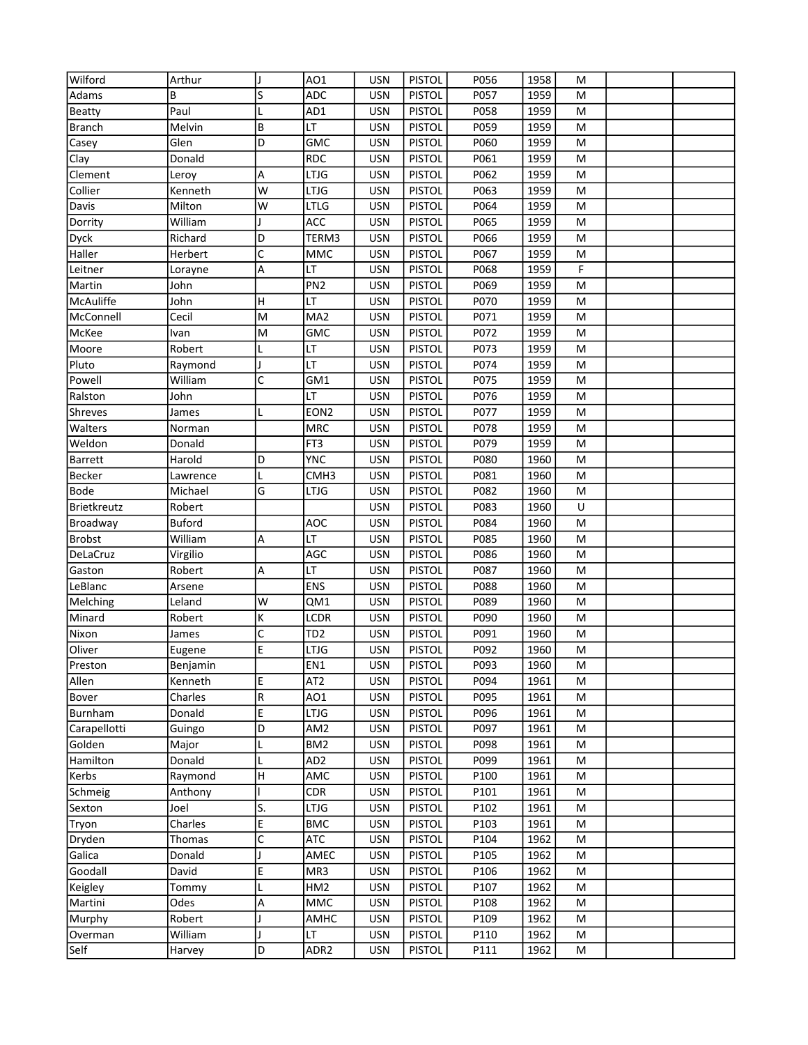| Wilford        | Arthur        | IJ | AO1              | <b>USN</b> | <b>PISTOL</b> | P056 | 1958 | M |  |
|----------------|---------------|----|------------------|------------|---------------|------|------|---|--|
| Adams          | В             | S  | <b>ADC</b>       | <b>USN</b> | <b>PISTOL</b> | P057 | 1959 | M |  |
| <b>Beatty</b>  | Paul          |    | AD1              | <b>USN</b> | <b>PISTOL</b> | P058 | 1959 | M |  |
| <b>Branch</b>  | Melvin        | B  | LT               | <b>USN</b> | <b>PISTOL</b> | P059 | 1959 | M |  |
| Casey          | Glen          | D  | <b>GMC</b>       | <b>USN</b> | <b>PISTOL</b> | P060 | 1959 | M |  |
| Clay           | Donald        |    | <b>RDC</b>       | <b>USN</b> | <b>PISTOL</b> | P061 | 1959 | M |  |
| Clement        | Leroy         | А  | <b>LTJG</b>      | <b>USN</b> | <b>PISTOL</b> | P062 | 1959 | M |  |
| Collier        | Kenneth       | W  | LTJG             | <b>USN</b> | <b>PISTOL</b> | P063 | 1959 | M |  |
| Davis          | Milton        | W  | LTLG             | <b>USN</b> | <b>PISTOL</b> | P064 | 1959 | M |  |
| Dorrity        | William       |    | ACC              | <b>USN</b> | <b>PISTOL</b> | P065 | 1959 | M |  |
| Dyck           | Richard       | D  | TERM3            | <b>USN</b> | <b>PISTOL</b> | P066 | 1959 | M |  |
| Haller         | Herbert       | C  | <b>MMC</b>       | <b>USN</b> | <b>PISTOL</b> | P067 | 1959 | M |  |
| Leitner        | Lorayne       | А  | LT               | <b>USN</b> | <b>PISTOL</b> | P068 | 1959 | F |  |
| Martin         | John          |    | PN <sub>2</sub>  | <b>USN</b> | <b>PISTOL</b> | P069 | 1959 | M |  |
| McAuliffe      | John          | H  | LT               | <b>USN</b> | <b>PISTOL</b> | P070 | 1959 | M |  |
| McConnell      | Cecil         | M  | MA <sub>2</sub>  | <b>USN</b> | <b>PISTOL</b> | P071 | 1959 | M |  |
| McKee          | Ivan          | M  | <b>GMC</b>       | <b>USN</b> | <b>PISTOL</b> | P072 | 1959 | M |  |
| Moore          | Robert        |    | LT               | <b>USN</b> | <b>PISTOL</b> | P073 | 1959 | M |  |
| Pluto          | Raymond       |    | LT               | <b>USN</b> | <b>PISTOL</b> | P074 | 1959 | M |  |
| Powell         | William       | C  | GM1              | <b>USN</b> | <b>PISTOL</b> | P075 | 1959 | M |  |
| Ralston        | John          |    | LT               | <b>USN</b> | <b>PISTOL</b> | P076 | 1959 | M |  |
| Shreves        | James         |    | EON <sub>2</sub> | <b>USN</b> | <b>PISTOL</b> | P077 | 1959 | M |  |
| Walters        | Norman        |    | <b>MRC</b>       | <b>USN</b> | <b>PISTOL</b> | P078 | 1959 | M |  |
| Weldon         | Donald        |    | FT3              | <b>USN</b> | <b>PISTOL</b> | P079 | 1959 | M |  |
| <b>Barrett</b> | Harold        | D  | <b>YNC</b>       | <b>USN</b> | <b>PISTOL</b> | P080 | 1960 | M |  |
| Becker         | Lawrence      |    | CMH3             | <b>USN</b> | <b>PISTOL</b> | P081 | 1960 | M |  |
| Bode           | Michael       | G  | LTJG             | <b>USN</b> | <b>PISTOL</b> | P082 | 1960 | M |  |
| Brietkreutz    | Robert        |    |                  | <b>USN</b> | <b>PISTOL</b> | P083 | 1960 | U |  |
| Broadway       | <b>Buford</b> |    | AOC              | <b>USN</b> | <b>PISTOL</b> | P084 | 1960 | M |  |
| <b>Brobst</b>  | William       | А  | LT               | <b>USN</b> | <b>PISTOL</b> | P085 | 1960 | M |  |
| DeLaCruz       | Virgilio      |    | AGC              | <b>USN</b> | <b>PISTOL</b> | P086 | 1960 | M |  |
| Gaston         | Robert        | А  | LT               | <b>USN</b> | <b>PISTOL</b> | P087 | 1960 | M |  |
| LeBlanc        | Arsene        |    | <b>ENS</b>       | <b>USN</b> | <b>PISTOL</b> | P088 | 1960 | M |  |
| Melching       | Leland        | W  | QM1              | <b>USN</b> | <b>PISTOL</b> | P089 | 1960 | M |  |
| Minard         | Robert        | K  | LCDR             | <b>USN</b> | <b>PISTOL</b> | P090 | 1960 | M |  |
| Nixon          | James         | C  | TD <sub>2</sub>  | <b>USN</b> | <b>PISTOL</b> | P091 | 1960 | M |  |
| Oliver         | Eugene        | E  | LTJG             | <b>USN</b> | <b>PISTOL</b> | P092 | 1960 | M |  |
| Preston        | Benjamin      |    | EN1              | USN        | <b>PISTOL</b> | P093 | 1960 | M |  |
| Allen          | Kenneth       | E  | AT <sub>2</sub>  | <b>USN</b> | <b>PISTOL</b> | P094 | 1961 | M |  |
| Bover          | Charles       | R  | AO1              | <b>USN</b> | <b>PISTOL</b> | P095 | 1961 | M |  |
| Burnham        | Donald        | E  | <b>LTJG</b>      | <b>USN</b> | <b>PISTOL</b> | P096 | 1961 | М |  |
| Carapellotti   | Guingo        | D  | AM <sub>2</sub>  | <b>USN</b> | <b>PISTOL</b> | P097 | 1961 | М |  |
| Golden         | Major         | L  | BM <sub>2</sub>  | <b>USN</b> | <b>PISTOL</b> | P098 | 1961 | М |  |
| Hamilton       | Donald        | L  | AD <sub>2</sub>  | <b>USN</b> | <b>PISTOL</b> | P099 | 1961 | М |  |
| Kerbs          | Raymond       | H  | AMC              | <b>USN</b> | <b>PISTOL</b> | P100 | 1961 | М |  |
| Schmeig        | Anthony       |    | <b>CDR</b>       | <b>USN</b> | <b>PISTOL</b> | P101 | 1961 | М |  |
| Sexton         | Joel          | S. | LTJG             | <b>USN</b> | <b>PISTOL</b> | P102 | 1961 | М |  |
| Tryon          | Charles       | E  | <b>BMC</b>       | <b>USN</b> | <b>PISTOL</b> | P103 | 1961 | М |  |
| Dryden         | Thomas        | C  | <b>ATC</b>       | <b>USN</b> | <b>PISTOL</b> | P104 | 1962 | М |  |
| Galica         | Donald        |    | AMEC             | <b>USN</b> | <b>PISTOL</b> | P105 | 1962 | М |  |
| Goodall        | David         | E  | MR3              | <b>USN</b> | <b>PISTOL</b> | P106 | 1962 | М |  |
| Keigley        | Tommy         | L  | HM <sub>2</sub>  | <b>USN</b> | <b>PISTOL</b> | P107 | 1962 | М |  |
| Martini        | Odes          | А  | MMC              | <b>USN</b> | <b>PISTOL</b> | P108 | 1962 | М |  |
| Murphy         | Robert        |    | AMHC             | <b>USN</b> | <b>PISTOL</b> | P109 | 1962 | М |  |
| Overman        | William       |    | LT               | <b>USN</b> | <b>PISTOL</b> | P110 | 1962 | M |  |
| Self           | Harvey        | D  | ADR <sub>2</sub> | USN        | <b>PISTOL</b> | P111 | 1962 | M |  |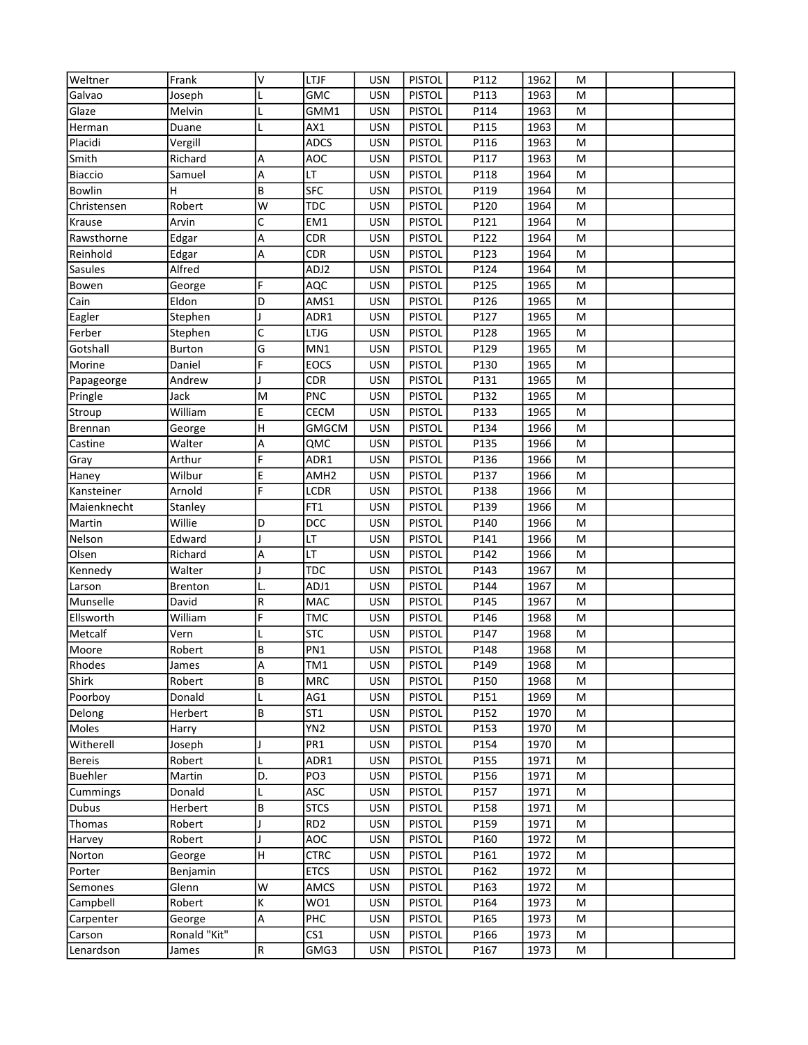| Weltner        | Frank          | V  | LTJF             | <b>USN</b> | <b>PISTOL</b> | P112 | 1962 | M |  |
|----------------|----------------|----|------------------|------------|---------------|------|------|---|--|
| Galvao         | Joseph         |    | <b>GMC</b>       | <b>USN</b> | <b>PISTOL</b> | P113 | 1963 | M |  |
| Glaze          | Melvin         |    | GMM1             | <b>USN</b> | <b>PISTOL</b> | P114 | 1963 | M |  |
| Herman         | Duane          |    | AX1              | <b>USN</b> | <b>PISTOL</b> | P115 | 1963 | M |  |
| Placidi        | Vergill        |    | <b>ADCS</b>      | <b>USN</b> | <b>PISTOL</b> | P116 | 1963 | M |  |
| Smith          | Richard        | А  | <b>AOC</b>       | <b>USN</b> | <b>PISTOL</b> | P117 | 1963 | M |  |
| <b>Biaccio</b> | Samuel         | А  | LT               | <b>USN</b> | <b>PISTOL</b> | P118 | 1964 | M |  |
| Bowlin         | н              | B  | <b>SFC</b>       | <b>USN</b> | <b>PISTOL</b> | P119 | 1964 | M |  |
| Christensen    | Robert         | W  | <b>TDC</b>       | <b>USN</b> | <b>PISTOL</b> | P120 | 1964 | M |  |
| Krause         | Arvin          | C  | EM1              | <b>USN</b> | <b>PISTOL</b> | P121 | 1964 | M |  |
| Rawsthorne     | Edgar          | А  | <b>CDR</b>       | <b>USN</b> | <b>PISTOL</b> | P122 | 1964 | M |  |
| Reinhold       | Edgar          | А  | <b>CDR</b>       | <b>USN</b> | <b>PISTOL</b> | P123 | 1964 | M |  |
| Sasules        | Alfred         |    | ADJ2             | <b>USN</b> | <b>PISTOL</b> | P124 | 1964 | M |  |
| Bowen          | George         | F  | AQC              | <b>USN</b> | <b>PISTOL</b> | P125 | 1965 | M |  |
| Cain           | Eldon          | D  | AMS1             | <b>USN</b> | <b>PISTOL</b> | P126 | 1965 | M |  |
| Eagler         | Stephen        |    | ADR1             | <b>USN</b> | <b>PISTOL</b> | P127 | 1965 | M |  |
| Ferber         | Stephen        | C  | <b>LTJG</b>      | <b>USN</b> | <b>PISTOL</b> | P128 | 1965 | M |  |
| Gotshall       | Burton         | G  | MN1              | <b>USN</b> | <b>PISTOL</b> | P129 | 1965 | M |  |
| Morine         | Daniel         | F  | <b>EOCS</b>      | <b>USN</b> | <b>PISTOL</b> | P130 | 1965 | M |  |
| Papageorge     | Andrew         |    | CDR              | <b>USN</b> | <b>PISTOL</b> | P131 | 1965 | M |  |
| Pringle        | Jack           | M  | <b>PNC</b>       | <b>USN</b> | <b>PISTOL</b> | P132 | 1965 | M |  |
| Stroup         | William        | E  | CECM             | <b>USN</b> | <b>PISTOL</b> | P133 | 1965 | M |  |
| Brennan        | George         | H  | <b>GMGCM</b>     | <b>USN</b> | <b>PISTOL</b> | P134 | 1966 | M |  |
| Castine        | Walter         | А  | QMC              | <b>USN</b> | <b>PISTOL</b> | P135 | 1966 | M |  |
| Gray           | Arthur         | F  | ADR1             | <b>USN</b> | <b>PISTOL</b> | P136 | 1966 | M |  |
| Haney          | Wilbur         | E  | AMH <sub>2</sub> | <b>USN</b> | <b>PISTOL</b> | P137 | 1966 | M |  |
| Kansteiner     | Arnold         | F  | LCDR             | <b>USN</b> | <b>PISTOL</b> | P138 | 1966 | M |  |
| Maienknecht    | Stanley        |    | FT1              | <b>USN</b> | <b>PISTOL</b> | P139 | 1966 | M |  |
| Martin         | Willie         | D  | DCC              | <b>USN</b> | <b>PISTOL</b> | P140 | 1966 | M |  |
| Nelson         | Edward         |    | LT               | <b>USN</b> | <b>PISTOL</b> | P141 | 1966 | M |  |
| Olsen          | Richard        | А  | LT               | <b>USN</b> | <b>PISTOL</b> | P142 | 1966 | M |  |
| Kennedy        | Walter         |    | <b>TDC</b>       | <b>USN</b> | <b>PISTOL</b> | P143 | 1967 | M |  |
| Larson         | <b>Brenton</b> | L. | ADJ1             | <b>USN</b> | <b>PISTOL</b> | P144 | 1967 | M |  |
| Munselle       | David          | R  | MAC              | <b>USN</b> | <b>PISTOL</b> | P145 | 1967 | M |  |
| Ellsworth      | William        | F  | <b>TMC</b>       | <b>USN</b> | <b>PISTOL</b> | P146 | 1968 | M |  |
| Metcalf        | Vern           |    | <b>STC</b>       | <b>USN</b> | <b>PISTOL</b> | P147 | 1968 | M |  |
| Moore          | Robert         | B  | PN1              | <b>USN</b> | <b>PISTOL</b> | P148 | 1968 | M |  |
| Rhodes         | James          | A  | TM1              | <b>USN</b> | <b>PISTOL</b> | P149 | 1968 | M |  |
| Shirk          | Robert         | B  | <b>MRC</b>       | <b>USN</b> | <b>PISTOL</b> | P150 | 1968 | M |  |
| Poorboy        | Donald         | L  | AG1              | <b>USN</b> | <b>PISTOL</b> | P151 | 1969 | М |  |
| Delong         | Herbert        | B  | ST <sub>1</sub>  | <b>USN</b> | <b>PISTOL</b> | P152 | 1970 | М |  |
| Moles          | Harry          |    | YN2              | <b>USN</b> | <b>PISTOL</b> | P153 | 1970 | М |  |
| Witherell      | Joseph         |    | PR <sub>1</sub>  | <b>USN</b> | <b>PISTOL</b> | P154 | 1970 | М |  |
| <b>Bereis</b>  | Robert         | L  | ADR1             | <b>USN</b> | <b>PISTOL</b> | P155 | 1971 | М |  |
| <b>Buehler</b> | Martin         | D. | PO <sub>3</sub>  | <b>USN</b> | <b>PISTOL</b> | P156 | 1971 | М |  |
| Cummings       | Donald         | L  | ASC              | <b>USN</b> | <b>PISTOL</b> | P157 | 1971 | М |  |
| Dubus          | Herbert        | B  | <b>STCS</b>      | <b>USN</b> | <b>PISTOL</b> | P158 | 1971 | М |  |
| Thomas         | Robert         |    | RD <sub>2</sub>  | <b>USN</b> | <b>PISTOL</b> | P159 | 1971 | М |  |
| Harvey         | Robert         |    | AOC              | <b>USN</b> | <b>PISTOL</b> | P160 | 1972 | М |  |
| Norton         | George         | H  | <b>CTRC</b>      | <b>USN</b> | <b>PISTOL</b> | P161 | 1972 | M |  |
| Porter         | Benjamin       |    | <b>ETCS</b>      | <b>USN</b> | <b>PISTOL</b> | P162 | 1972 | М |  |
| Semones        | Glenn          | W  | AMCS             | <b>USN</b> | <b>PISTOL</b> | P163 | 1972 | М |  |
| Campbell       | Robert         | K  | WO1              | <b>USN</b> | <b>PISTOL</b> | P164 | 1973 | М |  |
| Carpenter      | George         | Α  | PHC              | <b>USN</b> | <b>PISTOL</b> | P165 | 1973 | М |  |
| Carson         | Ronald "Kit"   |    | CS <sub>1</sub>  | <b>USN</b> | <b>PISTOL</b> | P166 | 1973 | M |  |
| Lenardson      | James          | R  | GMG3             | <b>USN</b> | <b>PISTOL</b> | P167 | 1973 | M |  |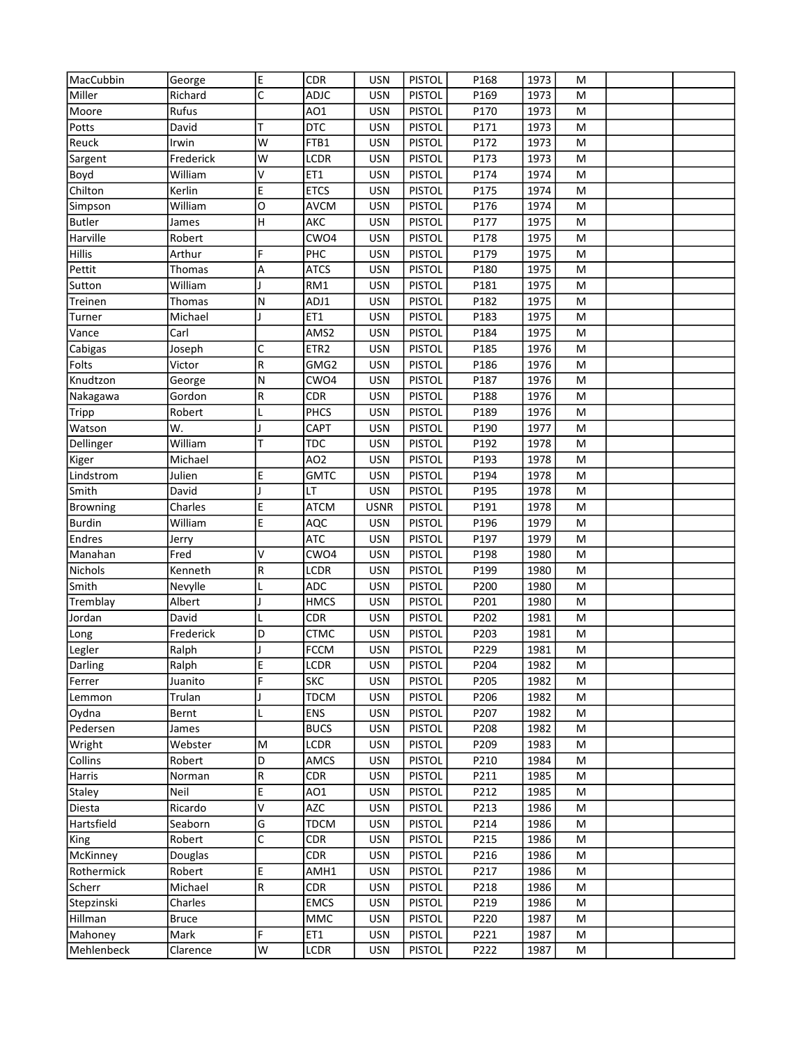| MacCubbin       | George       | E           | <b>CDR</b>       | <b>USN</b>  | <b>PISTOL</b> | P168 | 1973 | M |  |
|-----------------|--------------|-------------|------------------|-------------|---------------|------|------|---|--|
| Miller          | Richard      | C           | <b>ADJC</b>      | <b>USN</b>  | <b>PISTOL</b> | P169 | 1973 | M |  |
| Moore           | Rufus        |             | AO1              | <b>USN</b>  | <b>PISTOL</b> | P170 | 1973 | М |  |
| Potts           | David        | T           | <b>DTC</b>       | <b>USN</b>  | <b>PISTOL</b> | P171 | 1973 | M |  |
| Reuck           | Irwin        | W           | FTB1             | <b>USN</b>  | <b>PISTOL</b> | P172 | 1973 | M |  |
| Sargent         | Frederick    | W           | <b>LCDR</b>      | <b>USN</b>  | <b>PISTOL</b> | P173 | 1973 | M |  |
|                 | William      | V           | ET1              | <b>USN</b>  | <b>PISTOL</b> | P174 | 1974 | M |  |
| Boyd<br>Chilton |              | E           | <b>ETCS</b>      |             |               |      |      |   |  |
|                 | Kerlin       |             |                  | <b>USN</b>  | <b>PISTOL</b> | P175 | 1974 | M |  |
| Simpson         | William      | O           | <b>AVCM</b>      | <b>USN</b>  | <b>PISTOL</b> | P176 | 1974 | М |  |
| <b>Butler</b>   | James        | H           | AKC              | <b>USN</b>  | <b>PISTOL</b> | P177 | 1975 | M |  |
| Harville        | Robert       |             | CWO4             | <b>USN</b>  | <b>PISTOL</b> | P178 | 1975 | M |  |
| <b>Hillis</b>   | Arthur       | F           | PHC              | <b>USN</b>  | <b>PISTOL</b> | P179 | 1975 | M |  |
| Pettit          | Thomas       | А           | <b>ATCS</b>      | <b>USN</b>  | <b>PISTOL</b> | P180 | 1975 | M |  |
| Sutton          | William      |             | RM1              | <b>USN</b>  | <b>PISTOL</b> | P181 | 1975 | M |  |
| Treinen         | Thomas       | N           | ADJ1             | <b>USN</b>  | <b>PISTOL</b> | P182 | 1975 | M |  |
| Turner          | Michael      |             | ET1              | <b>USN</b>  | <b>PISTOL</b> | P183 | 1975 | M |  |
| Vance           | Carl         |             | AMS2             | <b>USN</b>  | <b>PISTOL</b> | P184 | 1975 | M |  |
| Cabigas         | Joseph       | C           | ETR <sub>2</sub> | <b>USN</b>  | <b>PISTOL</b> | P185 | 1976 | M |  |
| Folts           | Victor       | R           | GMG2             | <b>USN</b>  | <b>PISTOL</b> | P186 | 1976 | M |  |
| Knudtzon        | George       | Ν           | CWO4             | <b>USN</b>  | <b>PISTOL</b> | P187 | 1976 | M |  |
| Nakagawa        | Gordon       | R           | <b>CDR</b>       | <b>USN</b>  | <b>PISTOL</b> | P188 | 1976 | M |  |
| <b>Tripp</b>    | Robert       |             | <b>PHCS</b>      | <b>USN</b>  | <b>PISTOL</b> | P189 | 1976 | M |  |
| Watson          | W.           |             | CAPT             | <b>USN</b>  | <b>PISTOL</b> | P190 | 1977 | M |  |
| Dellinger       | William      | T           | <b>TDC</b>       | <b>USN</b>  | <b>PISTOL</b> | P192 | 1978 | M |  |
| Kiger           | Michael      |             | AO <sub>2</sub>  | <b>USN</b>  | <b>PISTOL</b> | P193 | 1978 | M |  |
| Lindstrom       | Julien       | E           | <b>GMTC</b>      | <b>USN</b>  | <b>PISTOL</b> | P194 | 1978 | M |  |
| Smith           | David        |             | LT               | <b>USN</b>  | <b>PISTOL</b> | P195 | 1978 | M |  |
| <b>Browning</b> | Charles      | E           | <b>ATCM</b>      | <b>USNR</b> | <b>PISTOL</b> | P191 | 1978 | M |  |
| <b>Burdin</b>   | William      | E           | AQC              | <b>USN</b>  | <b>PISTOL</b> | P196 | 1979 | M |  |
| Endres          | Jerry        |             | <b>ATC</b>       | <b>USN</b>  | <b>PISTOL</b> | P197 | 1979 | M |  |
| Manahan         | Fred         | V           | CWO4             | <b>USN</b>  | <b>PISTOL</b> | P198 | 1980 | M |  |
| Nichols         | Kenneth      | R           | <b>LCDR</b>      | <b>USN</b>  | <b>PISTOL</b> | P199 | 1980 | M |  |
| Smith           | Nevylle      |             | ADC              | <b>USN</b>  | <b>PISTOL</b> | P200 | 1980 | M |  |
| Tremblay        | Albert       |             | <b>HMCS</b>      | <b>USN</b>  | <b>PISTOL</b> | P201 | 1980 | M |  |
| Jordan          | David        |             | <b>CDR</b>       | <b>USN</b>  | <b>PISTOL</b> | P202 | 1981 | M |  |
| Long            | Frederick    | D           | <b>CTMC</b>      | <b>USN</b>  | <b>PISTOL</b> | P203 | 1981 | M |  |
| Legler          | Ralph        |             | <b>FCCM</b>      | <b>USN</b>  | <b>PISTOL</b> | P229 | 1981 | M |  |
| Darling         | Ralph        | E           | <b>LCDR</b>      | USN         | <b>PISTOL</b> | P204 | 1982 | M |  |
| Ferrer          | Juanito      | F           | <b>SKC</b>       | <b>USN</b>  | <b>PISTOL</b> | P205 | 1982 | М |  |
| Lemmon          | Trulan       |             | <b>TDCM</b>      | <b>USN</b>  | <b>PISTOL</b> | P206 | 1982 | М |  |
| Oydna           | Bernt        |             | <b>ENS</b>       | <b>USN</b>  | <b>PISTOL</b> | P207 | 1982 | М |  |
| Pedersen        | James        |             | <b>BUCS</b>      | <b>USN</b>  | <b>PISTOL</b> | P208 | 1982 | M |  |
| Wright          | Webster      | M           | LCDR             | <b>USN</b>  | <b>PISTOL</b> | P209 | 1983 | М |  |
| Collins         | Robert       | D           | AMCS             | <b>USN</b>  | <b>PISTOL</b> | P210 | 1984 | M |  |
| Harris          | Norman       | R           | <b>CDR</b>       | <b>USN</b>  | <b>PISTOL</b> | P211 | 1985 | M |  |
| Staley          | Neil         | E           | AO1              | <b>USN</b>  | <b>PISTOL</b> | P212 | 1985 | М |  |
| Diesta          | Ricardo      | V           | <b>AZC</b>       | <b>USN</b>  | <b>PISTOL</b> | P213 | 1986 | М |  |
| Hartsfield      | Seaborn      | G           | <b>TDCM</b>      | <b>USN</b>  | <b>PISTOL</b> | P214 | 1986 | M |  |
| King            | Robert       | C           | <b>CDR</b>       | <b>USN</b>  | <b>PISTOL</b> | P215 | 1986 | М |  |
|                 |              |             | <b>CDR</b>       |             |               |      |      |   |  |
| McKinney        | Douglas      |             |                  | <b>USN</b>  | <b>PISTOL</b> | P216 | 1986 | М |  |
| Rothermick      | Robert       | E           | AMH1             | <b>USN</b>  | <b>PISTOL</b> | P217 | 1986 | M |  |
| Scherr          | Michael      | $\mathsf R$ | <b>CDR</b>       | <b>USN</b>  | <b>PISTOL</b> | P218 | 1986 | М |  |
| Stepzinski      | Charles      |             | <b>EMCS</b>      | <b>USN</b>  | <b>PISTOL</b> | P219 | 1986 | М |  |
| Hillman         | <b>Bruce</b> |             | <b>MMC</b>       | <b>USN</b>  | <b>PISTOL</b> | P220 | 1987 | M |  |
| Mahoney         | Mark         | F           | ET1              | <b>USN</b>  | <b>PISTOL</b> | P221 | 1987 | M |  |
| Mehlenbeck      | Clarence     | W           | LCDR             | <b>USN</b>  | <b>PISTOL</b> | P222 | 1987 | M |  |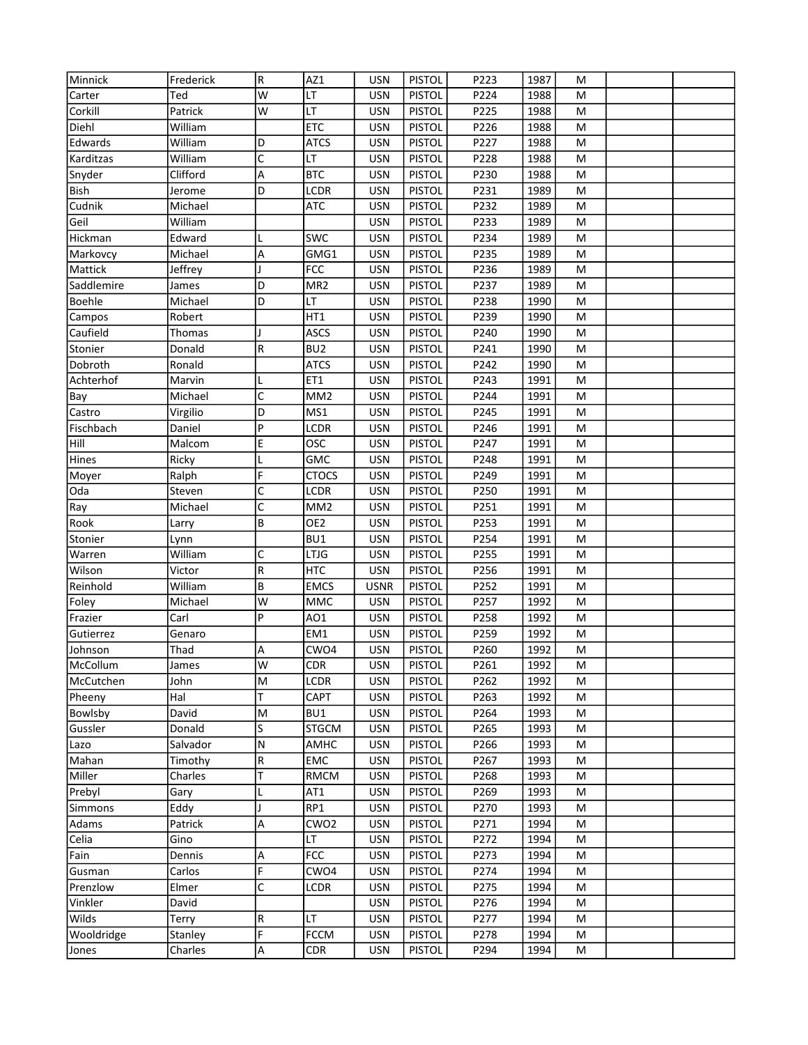| Minnick    | Frederick | R | AZ1              | <b>USN</b>  | <b>PISTOL</b> | P223 | 1987 | M |  |
|------------|-----------|---|------------------|-------------|---------------|------|------|---|--|
| Carter     | Ted       | W | LT               | <b>USN</b>  | <b>PISTOL</b> | P224 | 1988 | M |  |
| Corkill    | Patrick   | W | LT               | <b>USN</b>  | <b>PISTOL</b> | P225 | 1988 | M |  |
| Diehl      | William   |   | <b>ETC</b>       | <b>USN</b>  | <b>PISTOL</b> | P226 | 1988 | M |  |
| Edwards    | William   | D | <b>ATCS</b>      | <b>USN</b>  | <b>PISTOL</b> | P227 | 1988 | M |  |
| Karditzas  | William   | C | LT               | <b>USN</b>  | <b>PISTOL</b> | P228 | 1988 | M |  |
| Snyder     | Clifford  | А | <b>BTC</b>       | <b>USN</b>  | <b>PISTOL</b> | P230 | 1988 | M |  |
| Bish       | Jerome    | D | LCDR             | <b>USN</b>  | <b>PISTOL</b> | P231 | 1989 | M |  |
| Cudnik     | Michael   |   | ATC              | <b>USN</b>  | <b>PISTOL</b> | P232 | 1989 | M |  |
| Geil       | William   |   |                  | <b>USN</b>  | <b>PISTOL</b> | P233 | 1989 | M |  |
| Hickman    | Edward    |   | <b>SWC</b>       | <b>USN</b>  | <b>PISTOL</b> | P234 | 1989 | M |  |
| Markovcy   | Michael   | А | GMG1             | <b>USN</b>  | <b>PISTOL</b> | P235 | 1989 | M |  |
| Mattick    | Jeffrey   |   | <b>FCC</b>       | <b>USN</b>  | <b>PISTOL</b> | P236 | 1989 | M |  |
| Saddlemire | James     | D | MR <sub>2</sub>  | <b>USN</b>  | <b>PISTOL</b> | P237 | 1989 | M |  |
| Boehle     | Michael   | D | LT               | <b>USN</b>  | <b>PISTOL</b> | P238 | 1990 | M |  |
| Campos     | Robert    |   | HT1              | <b>USN</b>  | <b>PISTOL</b> | P239 | 1990 | M |  |
| Caufield   | Thomas    |   | <b>ASCS</b>      | <b>USN</b>  | <b>PISTOL</b> | P240 | 1990 | M |  |
| Stonier    | Donald    | R | BU <sub>2</sub>  | <b>USN</b>  | <b>PISTOL</b> | P241 | 1990 | M |  |
| Dobroth    | Ronald    |   | <b>ATCS</b>      | <b>USN</b>  | <b>PISTOL</b> | P242 | 1990 | M |  |
| Achterhof  | Marvin    |   | ET1              | <b>USN</b>  | <b>PISTOL</b> | P243 | 1991 | M |  |
| Bay        | Michael   | C | MM <sub>2</sub>  | <b>USN</b>  | <b>PISTOL</b> | P244 | 1991 | M |  |
| Castro     | Virgilio  | D | MS1              | <b>USN</b>  | <b>PISTOL</b> | P245 | 1991 | M |  |
| Fischbach  | Daniel    | P | LCDR             | <b>USN</b>  | <b>PISTOL</b> | P246 | 1991 | M |  |
| Hill       | Malcom    | E | OSC              | <b>USN</b>  | <b>PISTOL</b> | P247 | 1991 | M |  |
| Hines      | Ricky     |   | <b>GMC</b>       | <b>USN</b>  | <b>PISTOL</b> | P248 | 1991 | M |  |
| Moyer      | Ralph     | F | <b>CTOCS</b>     | <b>USN</b>  | <b>PISTOL</b> | P249 | 1991 | M |  |
| Oda        | Steven    | C | LCDR             | <b>USN</b>  | <b>PISTOL</b> | P250 | 1991 | M |  |
| Ray        | Michael   | C | MM <sub>2</sub>  | <b>USN</b>  | <b>PISTOL</b> | P251 | 1991 | M |  |
| Rook       | Larry     | B | OE <sub>2</sub>  | <b>USN</b>  | <b>PISTOL</b> | P253 | 1991 | M |  |
| Stonier    | Lynn      |   | BU1              | <b>USN</b>  | <b>PISTOL</b> | P254 | 1991 | M |  |
| Warren     | William   | C | <b>LTJG</b>      | <b>USN</b>  | <b>PISTOL</b> | P255 | 1991 | M |  |
| Wilson     | Victor    | R | <b>HTC</b>       | <b>USN</b>  | <b>PISTOL</b> | P256 | 1991 | M |  |
| Reinhold   | William   | B | <b>EMCS</b>      | <b>USNR</b> | <b>PISTOL</b> | P252 | 1991 | M |  |
| Foley      | Michael   | W | MMC              | <b>USN</b>  | <b>PISTOL</b> | P257 | 1992 | M |  |
| Frazier    | Carl      | P | AO1              | <b>USN</b>  | <b>PISTOL</b> | P258 | 1992 | M |  |
| Gutierrez  | Genaro    |   | EM1              | <b>USN</b>  | <b>PISTOL</b> | P259 | 1992 | M |  |
| Johnson    | Thad      | A | CWO4             | <b>USN</b>  | <b>PISTOL</b> | P260 | 1992 | M |  |
| McCollum   | James     | W | CDR.             | <b>USN</b>  | <b>PISTOL</b> | P261 | 1992 | M |  |
| McCutchen  | John      | M | LCDR             | <b>USN</b>  | <b>PISTOL</b> | P262 | 1992 | M |  |
| Pheeny     | Hal       | T | CAPT             | <b>USN</b>  | <b>PISTOL</b> | P263 | 1992 | M |  |
| Bowlsby    | David     | M | BU1              | <b>USN</b>  | <b>PISTOL</b> | P264 | 1993 | M |  |
| Gussler    | Donald    | S | <b>STGCM</b>     | <b>USN</b>  | <b>PISTOL</b> | P265 | 1993 | М |  |
| Lazo       | Salvador  | Ν | AMHC             | <b>USN</b>  | <b>PISTOL</b> | P266 | 1993 | M |  |
| Mahan      | Timothy   | R | EMC              | <b>USN</b>  | <b>PISTOL</b> | P267 | 1993 | M |  |
| Miller     | Charles   | Т | <b>RMCM</b>      | <b>USN</b>  | <b>PISTOL</b> | P268 | 1993 | М |  |
| Prebyl     | Gary      | L | AT1              | <b>USN</b>  | <b>PISTOL</b> | P269 | 1993 | M |  |
| Simmons    | Eddy      |   | RP1              | <b>USN</b>  | <b>PISTOL</b> | P270 | 1993 | M |  |
| Adams      | Patrick   | Α | CWO <sub>2</sub> | <b>USN</b>  | <b>PISTOL</b> | P271 | 1994 | М |  |
| Celia      | Gino      |   | LT               | <b>USN</b>  | <b>PISTOL</b> | P272 | 1994 | М |  |
| Fain       | Dennis    | А | <b>FCC</b>       | <b>USN</b>  | <b>PISTOL</b> | P273 | 1994 | M |  |
| Gusman     | Carlos    | F | CWO4             | <b>USN</b>  | <b>PISTOL</b> | P274 | 1994 | М |  |
| Prenzlow   | Elmer     | C | LCDR             | <b>USN</b>  | <b>PISTOL</b> | P275 | 1994 | М |  |
| Vinkler    | David     |   |                  | <b>USN</b>  | <b>PISTOL</b> | P276 | 1994 | M |  |
| Wilds      | Terry     | R | LT               | <b>USN</b>  | <b>PISTOL</b> | P277 | 1994 | М |  |
| Wooldridge | Stanley   | F | <b>FCCM</b>      | <b>USN</b>  | <b>PISTOL</b> | P278 | 1994 | M |  |
| Jones      | Charles   | А | <b>CDR</b>       | <b>USN</b>  | <b>PISTOL</b> | P294 | 1994 | M |  |
|            |           |   |                  |             |               |      |      |   |  |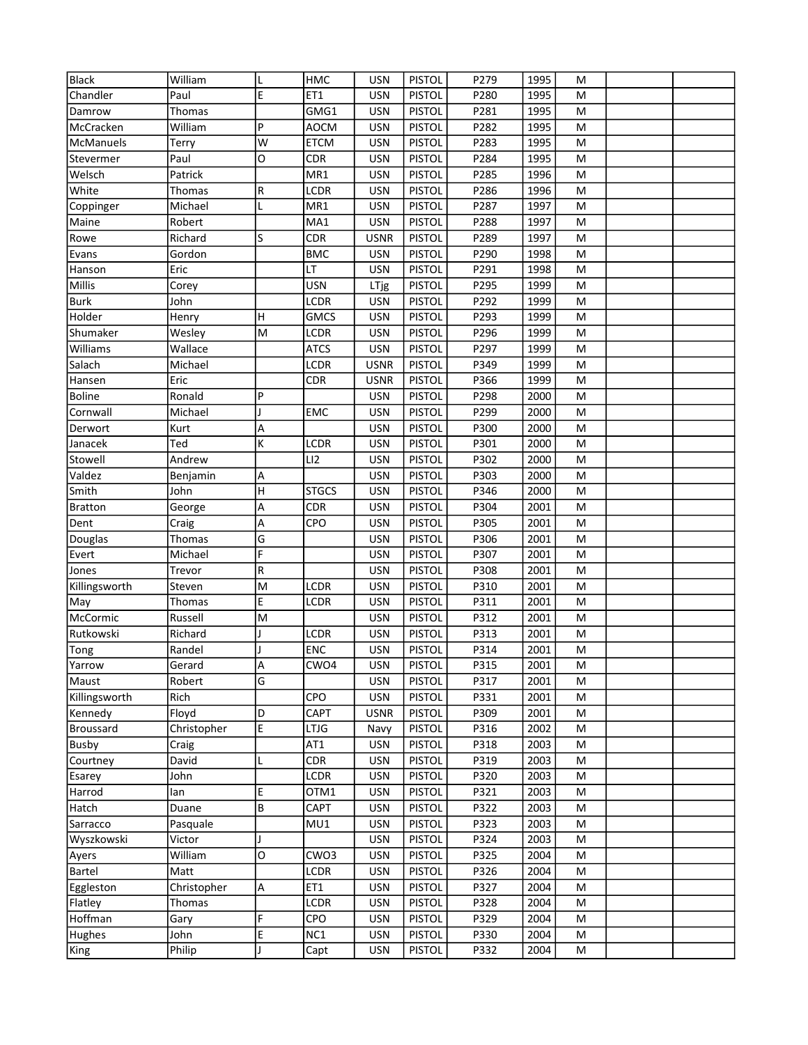| <b>Black</b>     | William     |   | HMC          | <b>USN</b>  | <b>PISTOL</b> | P279 | 1995 | M |  |
|------------------|-------------|---|--------------|-------------|---------------|------|------|---|--|
| Chandler         | Paul        | E | ET1          | <b>USN</b>  | <b>PISTOL</b> | P280 | 1995 | M |  |
| Damrow           | Thomas      |   | GMG1         | <b>USN</b>  | <b>PISTOL</b> | P281 | 1995 | M |  |
| McCracken        | William     | P | <b>AOCM</b>  | <b>USN</b>  | <b>PISTOL</b> | P282 | 1995 | M |  |
| McManuels        | Terry       | W | <b>ETCM</b>  | <b>USN</b>  | <b>PISTOL</b> | P283 | 1995 | M |  |
| Stevermer        | Paul        | 0 | <b>CDR</b>   | <b>USN</b>  | <b>PISTOL</b> | P284 | 1995 | M |  |
| Welsch           | Patrick     |   | MR1          | <b>USN</b>  | <b>PISTOL</b> | P285 | 1996 | M |  |
| White            | Thomas      | R | LCDR         | <b>USN</b>  | <b>PISTOL</b> | P286 | 1996 | M |  |
| Coppinger        | Michael     | L | MR1          | <b>USN</b>  | <b>PISTOL</b> | P287 | 1997 | M |  |
| Maine            | Robert      |   | MA1          | <b>USN</b>  | <b>PISTOL</b> | P288 | 1997 | M |  |
| Rowe             | Richard     | S | <b>CDR</b>   | <b>USNR</b> | <b>PISTOL</b> | P289 | 1997 | M |  |
| Evans            | Gordon      |   | <b>BMC</b>   | <b>USN</b>  | <b>PISTOL</b> | P290 | 1998 | M |  |
| Hanson           | Eric        |   | LT           | <b>USN</b>  | <b>PISTOL</b> | P291 | 1998 | M |  |
| Millis           | Corey       |   | <b>USN</b>   | LTjg        | <b>PISTOL</b> | P295 | 1999 | M |  |
| <b>Burk</b>      | John        |   | LCDR         | <b>USN</b>  | <b>PISTOL</b> | P292 | 1999 | M |  |
| Holder           | Henry       | H | <b>GMCS</b>  | <b>USN</b>  | <b>PISTOL</b> | P293 | 1999 | M |  |
| Shumaker         | Wesley      | M | LCDR         | <b>USN</b>  | <b>PISTOL</b> | P296 | 1999 | M |  |
| Williams         | Wallace     |   | <b>ATCS</b>  | <b>USN</b>  | <b>PISTOL</b> | P297 | 1999 | M |  |
| Salach           | Michael     |   | LCDR         | <b>USNR</b> | <b>PISTOL</b> | P349 | 1999 | M |  |
| Hansen           | Eric        |   | <b>CDR</b>   | <b>USNR</b> | <b>PISTOL</b> | P366 | 1999 | M |  |
| <b>Boline</b>    | Ronald      | P |              | <b>USN</b>  | <b>PISTOL</b> | P298 | 2000 | M |  |
| Cornwall         | Michael     |   | EMC          | <b>USN</b>  | <b>PISTOL</b> | P299 | 2000 | M |  |
| Derwort          | Kurt        | А |              | <b>USN</b>  | <b>PISTOL</b> | P300 | 2000 | M |  |
| Janacek          | Ted         | K | LCDR         | <b>USN</b>  | <b>PISTOL</b> | P301 | 2000 | M |  |
| Stowell          | Andrew      |   | LI2          | <b>USN</b>  | <b>PISTOL</b> | P302 | 2000 | M |  |
| Valdez           | Benjamin    | А |              | <b>USN</b>  | <b>PISTOL</b> | P303 | 2000 | M |  |
| Smith            | John        | Н | <b>STGCS</b> | <b>USN</b>  | <b>PISTOL</b> | P346 | 2000 | M |  |
| <b>Bratton</b>   | George      | А | <b>CDR</b>   | <b>USN</b>  | <b>PISTOL</b> | P304 | 2001 | M |  |
| Dent             | Craig       | А | CPO          | <b>USN</b>  | <b>PISTOL</b> | P305 | 2001 | M |  |
| Douglas          | Thomas      | G |              | <b>USN</b>  | <b>PISTOL</b> | P306 | 2001 | M |  |
| Evert            | Michael     | F |              | <b>USN</b>  | <b>PISTOL</b> | P307 | 2001 | M |  |
| Jones            | Trevor      | R |              | <b>USN</b>  | <b>PISTOL</b> | P308 | 2001 | M |  |
| Killingsworth    | Steven      | M | LCDR         | <b>USN</b>  | <b>PISTOL</b> | P310 | 2001 | M |  |
| May              | Thomas      | E | LCDR         | <b>USN</b>  | <b>PISTOL</b> | P311 | 2001 | M |  |
| McCormic         | Russell     | M |              | <b>USN</b>  | <b>PISTOL</b> | P312 | 2001 | M |  |
| Rutkowski        | Richard     |   | LCDR         | <b>USN</b>  | <b>PISTOL</b> | P313 | 2001 | M |  |
| Tong             | Randel      |   | <b>ENC</b>   | <b>USN</b>  | <b>PISTOL</b> | P314 | 2001 | M |  |
| Yarrow           | Gerard      | A | CWO4         | USN         | <b>PISTOL</b> | P315 | 2001 | M |  |
| Maust            | Robert      | G |              | <b>USN</b>  | <b>PISTOL</b> | P317 | 2001 | M |  |
| Killingsworth    | Rich        |   | CPO          | <b>USN</b>  | <b>PISTOL</b> | P331 | 2001 | M |  |
| Kennedy          | Floyd       | D | CAPT         | <b>USNR</b> | <b>PISTOL</b> | P309 | 2001 | М |  |
| <b>Broussard</b> | Christopher | E | LTJG         | Navy        | <b>PISTOL</b> | P316 | 2002 | М |  |
| Busby            | Craig       |   | AT1          | <b>USN</b>  | <b>PISTOL</b> | P318 | 2003 | М |  |
| Courtney         | David       | L | <b>CDR</b>   | <b>USN</b>  | <b>PISTOL</b> | P319 | 2003 | М |  |
| Esarey           | John        |   | LCDR         | <b>USN</b>  | <b>PISTOL</b> | P320 | 2003 | М |  |
| Harrod           | lan         | E | OTM1         | <b>USN</b>  | <b>PISTOL</b> | P321 | 2003 | M |  |
| Hatch            | Duane       | B | CAPT         | <b>USN</b>  | <b>PISTOL</b> | P322 | 2003 | М |  |
| Sarracco         | Pasquale    |   | MU1          | <b>USN</b>  | <b>PISTOL</b> | P323 | 2003 | М |  |
| Wyszkowski       | Victor      |   |              | <b>USN</b>  | <b>PISTOL</b> | P324 | 2003 | M |  |
| Ayers            | William     | O | CWO3         | <b>USN</b>  | <b>PISTOL</b> | P325 | 2004 | М |  |
| <b>Bartel</b>    | Matt        |   | LCDR         | <b>USN</b>  | <b>PISTOL</b> | P326 | 2004 | М |  |
| Eggleston        | Christopher | A | ET1          | <b>USN</b>  | <b>PISTOL</b> | P327 | 2004 | M |  |
| Flatley          | Thomas      |   | LCDR         | <b>USN</b>  | <b>PISTOL</b> | P328 | 2004 | М |  |
| Hoffman          | Gary        | F | CPO          | <b>USN</b>  | <b>PISTOL</b> | P329 | 2004 | М |  |
| Hughes           | John        | E | NC1          | <b>USN</b>  | <b>PISTOL</b> | P330 | 2004 | M |  |
| King             | Philip      |   | Capt         | USN         | <b>PISTOL</b> | P332 | 2004 | M |  |
|                  |             |   |              |             |               |      |      |   |  |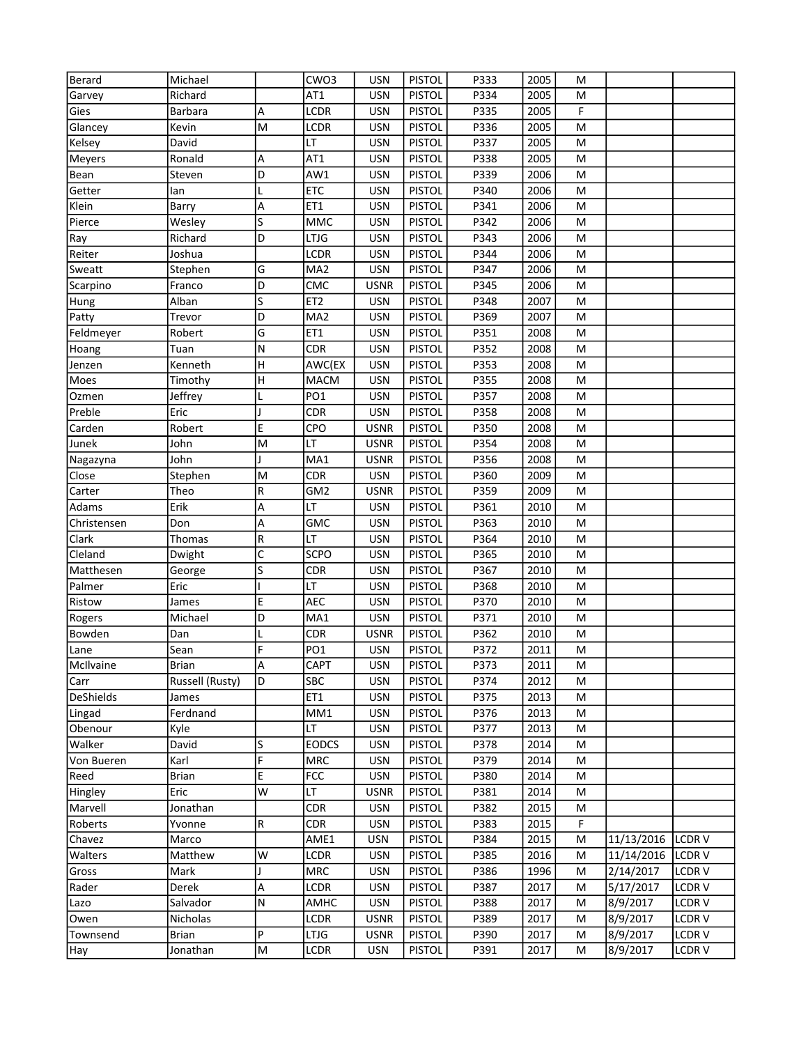| <b>Berard</b>    | Michael         |   | CWO3            | <b>USN</b>  | <b>PISTOL</b> | P333 | 2005 | M |            |              |
|------------------|-----------------|---|-----------------|-------------|---------------|------|------|---|------------|--------------|
| Garvey           | Richard         |   | AT1             | <b>USN</b>  | <b>PISTOL</b> | P334 | 2005 | M |            |              |
| Gies             | Barbara         | А | <b>LCDR</b>     | <b>USN</b>  | <b>PISTOL</b> | P335 | 2005 | F |            |              |
| Glancey          | Kevin           | M | LCDR            | <b>USN</b>  | <b>PISTOL</b> | P336 | 2005 | M |            |              |
| Kelsey           | David           |   | LT              | <b>USN</b>  | <b>PISTOL</b> | P337 | 2005 | M |            |              |
| Meyers           | Ronald          | А | AT1             | <b>USN</b>  | <b>PISTOL</b> | P338 | 2005 | M |            |              |
| Bean             | Steven          | D | AW1             | <b>USN</b>  | <b>PISTOL</b> | P339 | 2006 | M |            |              |
| Getter           | lan             |   | <b>ETC</b>      | <b>USN</b>  | <b>PISTOL</b> | P340 | 2006 | M |            |              |
| Klein            | Barry           | Α | ET1             | <b>USN</b>  | <b>PISTOL</b> | P341 | 2006 | M |            |              |
| Pierce           | Wesley          | S | MMC             | <b>USN</b>  | <b>PISTOL</b> | P342 | 2006 | M |            |              |
| Ray              | Richard         | D | <b>LTJG</b>     | <b>USN</b>  | <b>PISTOL</b> | P343 | 2006 | M |            |              |
| Reiter           | Joshua          |   | LCDR            | <b>USN</b>  | <b>PISTOL</b> | P344 | 2006 | M |            |              |
| Sweatt           | Stephen         | G | MA <sub>2</sub> | <b>USN</b>  | <b>PISTOL</b> | P347 | 2006 | M |            |              |
| Scarpino         | Franco          | D | CMC             | <b>USNR</b> | <b>PISTOL</b> | P345 | 2006 | M |            |              |
| Hung             | Alban           | S | ET <sub>2</sub> | <b>USN</b>  | <b>PISTOL</b> | P348 | 2007 | M |            |              |
| Patty            | Trevor          | D | MA <sub>2</sub> | <b>USN</b>  | <b>PISTOL</b> | P369 | 2007 | M |            |              |
| Feldmeyer        | Robert          | G | ET1             | <b>USN</b>  | <b>PISTOL</b> | P351 | 2008 | M |            |              |
| Hoang            | Tuan            | N | <b>CDR</b>      | <b>USN</b>  | <b>PISTOL</b> | P352 | 2008 | M |            |              |
| Jenzen           | Kenneth         | H | AWC(EX          | <b>USN</b>  | <b>PISTOL</b> | P353 | 2008 | M |            |              |
| Moes             | Timothy         | H | <b>MACM</b>     | <b>USN</b>  | <b>PISTOL</b> | P355 | 2008 | M |            |              |
| Ozmen            | Jeffrey         |   | PO <sub>1</sub> | <b>USN</b>  | <b>PISTOL</b> | P357 | 2008 | M |            |              |
| Preble           | Eric            |   | <b>CDR</b>      | <b>USN</b>  | <b>PISTOL</b> | P358 | 2008 | M |            |              |
| Carden           | Robert          | E | CPO             | <b>USNR</b> | <b>PISTOL</b> | P350 | 2008 | M |            |              |
| Junek            | John            | M | LT.             | <b>USNR</b> | <b>PISTOL</b> | P354 | 2008 | M |            |              |
| Nagazyna         | John            |   | MA1             | <b>USNR</b> | <b>PISTOL</b> | P356 | 2008 | M |            |              |
| Close            | Stephen         | M | <b>CDR</b>      | <b>USN</b>  | <b>PISTOL</b> | P360 | 2009 | M |            |              |
| Carter           | Theo            | R | GM <sub>2</sub> | <b>USNR</b> | <b>PISTOL</b> | P359 | 2009 | M |            |              |
| Adams            | Erik            | А | LT              | <b>USN</b>  | <b>PISTOL</b> | P361 | 2010 | M |            |              |
| Christensen      | Don             | А | <b>GMC</b>      | <b>USN</b>  | <b>PISTOL</b> | P363 | 2010 | M |            |              |
| Clark            | Thomas          | R | LT              | <b>USN</b>  | <b>PISTOL</b> | P364 | 2010 | M |            |              |
| Cleland          | Dwight          | C | <b>SCPO</b>     | <b>USN</b>  | <b>PISTOL</b> | P365 | 2010 | M |            |              |
| Matthesen        |                 | S | <b>CDR</b>      | <b>USN</b>  | <b>PISTOL</b> | P367 | 2010 | M |            |              |
| Palmer           | George<br>Eric  |   | LT              | <b>USN</b>  | <b>PISTOL</b> | P368 | 2010 | M |            |              |
|                  |                 |   |                 |             |               |      |      |   |            |              |
| Ristow           | James           | E | AEC             | <b>USN</b>  | <b>PISTOL</b> | P370 | 2010 | M |            |              |
| Rogers           | Michael         | D | MA1             | <b>USN</b>  | <b>PISTOL</b> | P371 | 2010 | M |            |              |
| Bowden           | Dan             |   | <b>CDR</b>      | <b>USNR</b> | <b>PISTOL</b> | P362 | 2010 | M |            |              |
| Lane             | Sean            | F | PO <sub>1</sub> | <b>USN</b>  | <b>PISTOL</b> | P372 | 2011 | M |            |              |
| McIlvaine        | Brian           | A | <b>CAPT</b>     | USN         | <b>PISTOL</b> | P373 | 2011 | М |            |              |
| Carr             | Russell (Rusty) | D | SBC             | <b>USN</b>  | <b>PISTOL</b> | P374 | 2012 | M |            |              |
| <b>DeShields</b> | James           |   | ET1             | <b>USN</b>  | <b>PISTOL</b> | P375 | 2013 | М |            |              |
| Lingad           | Ferdnand        |   | MM1             | <b>USN</b>  | <b>PISTOL</b> | P376 | 2013 | М |            |              |
| Obenour          | Kyle            |   | LT              | <b>USN</b>  | <b>PISTOL</b> | P377 | 2013 | M |            |              |
| Walker           | David           | S | <b>EODCS</b>    | <b>USN</b>  | <b>PISTOL</b> | P378 | 2014 | М |            |              |
| Von Bueren       | Karl            | F | <b>MRC</b>      | <b>USN</b>  | <b>PISTOL</b> | P379 | 2014 | M |            |              |
| Reed             | <b>Brian</b>    | E | FCC             | <b>USN</b>  | <b>PISTOL</b> | P380 | 2014 | M |            |              |
| Hingley          | Eric            | W | LT.             | <b>USNR</b> | <b>PISTOL</b> | P381 | 2014 | М |            |              |
| Marvell          | Jonathan        |   | <b>CDR</b>      | <b>USN</b>  | <b>PISTOL</b> | P382 | 2015 | M |            |              |
| Roberts          | Yvonne          | R | <b>CDR</b>      | <b>USN</b>  | <b>PISTOL</b> | P383 | 2015 | F |            |              |
| Chavez           | Marco           |   | AME1            | <b>USN</b>  | <b>PISTOL</b> | P384 | 2015 | M | 11/13/2016 | <b>LCDRV</b> |
| Walters          | Matthew         | W | LCDR            | <b>USN</b>  | <b>PISTOL</b> | P385 | 2016 | M | 11/14/2016 | <b>LCDRV</b> |
| Gross            | Mark            |   | <b>MRC</b>      | <b>USN</b>  | <b>PISTOL</b> | P386 | 1996 | М | 2/14/2017  | LCDR V       |
| Rader            | Derek           | А | <b>LCDR</b>     | <b>USN</b>  | <b>PISTOL</b> | P387 | 2017 | M | 5/17/2017  | LCDR V       |
| Lazo             | Salvador        | N | AMHC            | <b>USN</b>  | <b>PISTOL</b> | P388 | 2017 | М | 8/9/2017   | LCDR V       |
| Owen             | Nicholas        |   | <b>LCDR</b>     | <b>USNR</b> | <b>PISTOL</b> | P389 | 2017 | М | 8/9/2017   | LCDR V       |
| Townsend         | <b>Brian</b>    | P | <b>LTJG</b>     | <b>USNR</b> | <b>PISTOL</b> | P390 | 2017 | M | 8/9/2017   | LCDR V       |
| Hay              | Jonathan        | M | LCDR            | <b>USN</b>  | <b>PISTOL</b> | P391 | 2017 | M | 8/9/2017   | LCDR V       |
|                  |                 |   |                 |             |               |      |      |   |            |              |